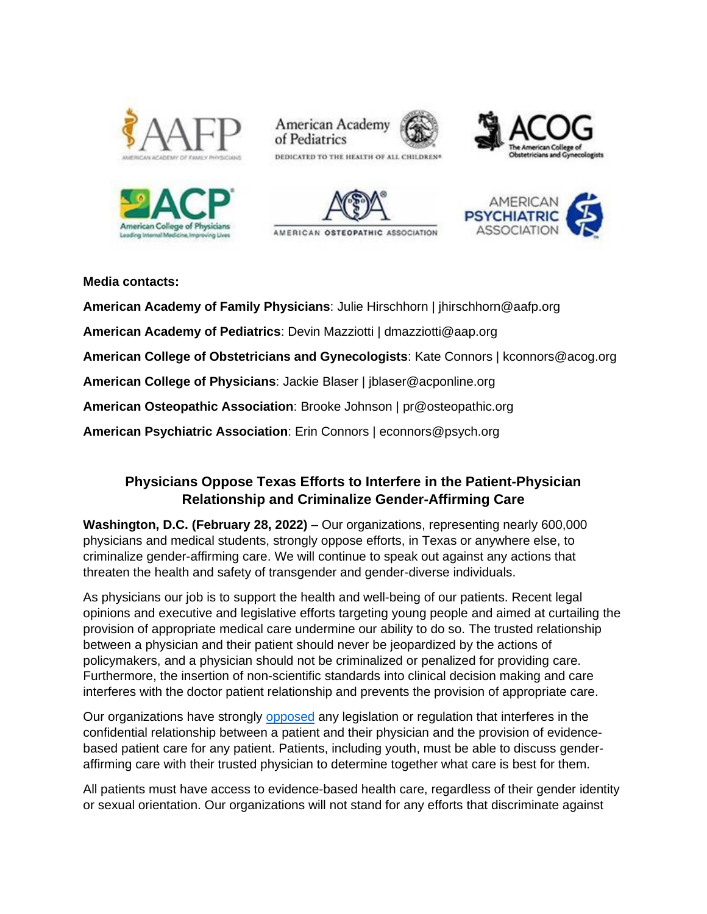











# **Media contacts:**

**American Academy of Family Physicians**: Julie Hirschhorn | jhirschhorn@aafp.org **American Academy of Pediatrics**: Devin Mazziotti | dmazziotti@aap.org **American College of Obstetricians and Gynecologists**: Kate Connors | kconnors@acog.org **American College of Physicians**: Jackie Blaser | jblaser@acponline.org **American Osteopathic Association**: Brooke Johnson | pr@osteopathic.org **American Psychiatric Association**: Erin Connors | econnors@psych.org

# **Physicians Oppose Texas Efforts to Interfere in the Patient-Physician Relationship and Criminalize Gender-Affirming Care**

**Washington, D.C. (February 28, 2022)** – Our organizations, representing nearly 600,000 physicians and medical students, strongly oppose efforts, in Texas or anywhere else, to criminalize gender-affirming care. We will continue to speak out against any actions that threaten the health and safety of transgender and gender-diverse individuals.

As physicians our job is to support the health and well-being of our patients. Recent legal opinions and executive and legislative efforts targeting young people and aimed at curtailing the provision of appropriate medical care undermine our ability to do so. The trusted relationship between a physician and their patient should never be jeopardized by the actions of policymakers, and a physician should not be criminalized or penalized for providing care. Furthermore, the insertion of non-scientific standards into clinical decision making and care interferes with the doctor patient relationship and prevents the provision of appropriate care.

Our organizations have strongly [opposed](http://www.groupof6.org/dam/AAFP/documents/advocacy/prevention/equality/ST-G6-FrontlinePhysiciansOpposeLegislationThatInterferesInOrPenalizesPatientCare-040221.pdf) any legislation or regulation that interferes in the confidential relationship between a patient and their physician and the provision of evidencebased patient care for any patient. Patients, including youth, must be able to discuss genderaffirming care with their trusted physician to determine together what care is best for them.

All patients must have access to evidence-based health care, regardless of their gender identity or sexual orientation. Our organizations will not stand for any efforts that discriminate against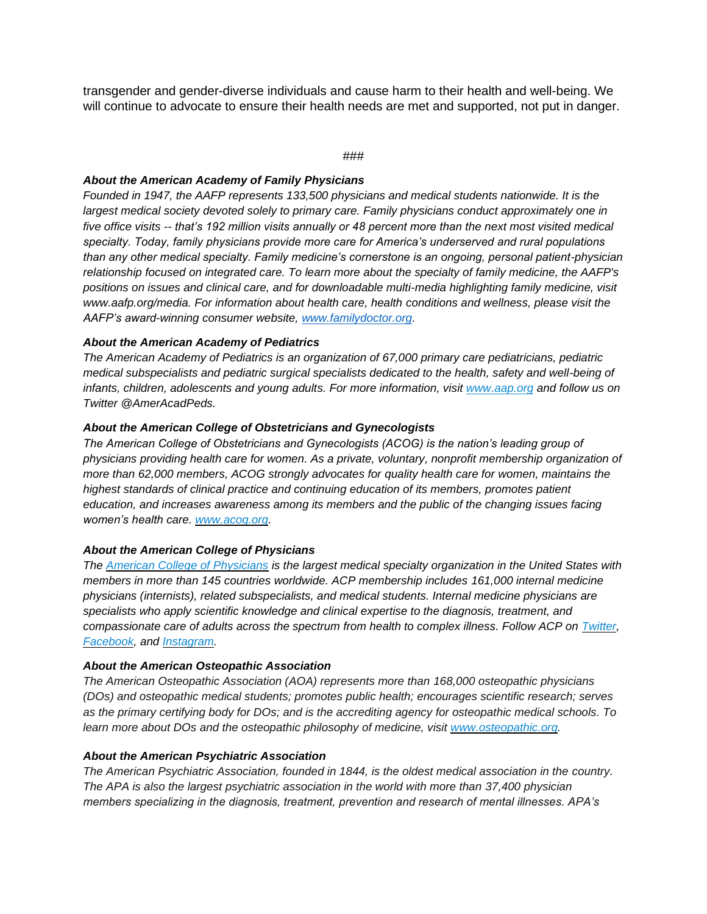transgender and gender-diverse individuals and cause harm to their health and well-being. We will continue to advocate to ensure their health needs are met and supported, not put in danger.

### *###*

### *About the American Academy of Family Physicians*

*Founded in 1947, the AAFP represents 133,500 physicians and medical students nationwide. It is the largest medical society devoted solely to primary care. Family physicians conduct approximately one in five office visits -- that's 192 million visits annually or 48 percent more than the next most visited medical specialty. Today, family physicians provide more care for America's underserved and rural populations than any other medical specialty. Family medicine's cornerstone is an ongoing, personal patient-physician relationship focused on integrated care. To learn more about the specialty of family medicine, the AAFP's positions on issues and clinical care, and for downloadable multi-media highlighting family medicine, visit www.aafp.org/media. For information about health care, health conditions and wellness, please visit the AAFP's award-winning consumer website, [www.familydoctor.org.](http://www.familydoctor.org/)*

# *About the American Academy of Pediatrics*

*The American Academy of Pediatrics is an organization of 67,000 primary care pediatricians, pediatric medical subspecialists and pediatric surgical specialists dedicated to the health, safety and well-being of infants, children, adolescents and young adults. For more information, visit [www.aap.org](http://www.aap.org/) and follow us on Twitter @AmerAcadPeds.*

# *About the American College of Obstetricians and Gynecologists*

*The American College of Obstetricians and Gynecologists (ACOG) is the nation's leading group of physicians providing health care for women. As a private, voluntary, nonprofit membership organization of more than 62,000 members, ACOG strongly advocates for quality health care for women, maintains the highest standards of clinical practice and continuing education of its members, promotes patient education, and increases awareness among its members and the public of the changing issues facing women's health care. [www.acog.org.](http://www.acog.org/)*

### *About the American College of Physicians*

*The [American College of Physicians](https://nam02.safelinks.protection.outlook.com/?url=http%3A%2F%2Fwww.acponline.org%2F&data=02%7C01%7Cjposlosky%40aap.org%7C2104b724d37c466fc3d508d6debb2784%7C686a5effab4f4bad8f3a22a2632445b9%7C0%7C0%7C636941292734161333&sdata=pBli%2BMQtb1NDTMUOf3MzPEkFvsoeuwHOhkUscghR8E4%3D&reserved=0) is the largest medical specialty organization in the United States with members in more than 145 countries worldwide. ACP membership includes 161,000 internal medicine physicians (internists), related subspecialists, and medical students. Internal medicine physicians are specialists who apply scientific knowledge and clinical expertise to the diagnosis, treatment, and compassionate care of adults across the spectrum from health to complex illness. Follow ACP on [Twitter,](https://nam02.safelinks.protection.outlook.com/?url=http%3A%2F%2Fwww.twitter.com%2Facpinternists&data=02%7C01%7Cjposlosky%40aap.org%7C2104b724d37c466fc3d508d6debb2784%7C686a5effab4f4bad8f3a22a2632445b9%7C0%7C0%7C636941292734161333&sdata=%2FOLByj%2FAw0wUr0Ng2h81P%2F7N1EleyM2EAtPxSFcsV0E%3D&reserved=0) [Facebook,](https://nam02.safelinks.protection.outlook.com/?url=http%3A%2F%2Fwww.facebook.com%2Facpinternists&data=02%7C01%7Cjposlosky%40aap.org%7C2104b724d37c466fc3d508d6debb2784%7C686a5effab4f4bad8f3a22a2632445b9%7C0%7C0%7C636941292734171326&sdata=LIUNvi5mMdPK2iniilq6TFlK5nu4UXxvSh81WuV5Unk%3D&reserved=0) and [Instagram.](https://nam02.safelinks.protection.outlook.com/?url=https%3A%2F%2Fwww.instagram.com%2Facpinternists%2F&data=02%7C01%7Cjposlosky%40aap.org%7C2104b724d37c466fc3d508d6debb2784%7C686a5effab4f4bad8f3a22a2632445b9%7C0%7C0%7C636941292734171326&sdata=0xhq5IOJaknCCU17fbEXAQOvFtCv8%2FMF8K1nxJQceLM%3D&reserved=0)*

# *About the American Osteopathic Association*

*The American Osteopathic Association (AOA) represents more than 168,000 osteopathic physicians (DOs) and osteopathic medical students; promotes public health; encourages scientific research; serves as the primary certifying body for DOs; and is the accrediting agency for osteopathic medical schools. To learn more about DOs and the osteopathic philosophy of medicine, visit [www.osteopathic.org.](http://www.osteopathic.org/)* 

# *About the American Psychiatric Association*

*The American Psychiatric Association, founded in 1844, is the oldest medical association in the country. The APA is also the largest psychiatric association in the world with more than 37,400 physician members specializing in the diagnosis, treatment, prevention and research of mental illnesses. APA's*